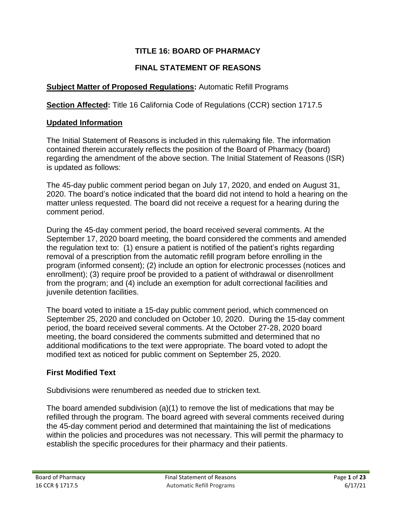## **TITLE 16: BOARD OF PHARMACY**

## **FINAL STATEMENT OF REASONS**

#### **Subject Matter of Proposed Regulations:** Automatic Refill Programs

**Section Affected:** Title 16 California Code of Regulations (CCR) section 1717.5

#### **Updated Information**

The Initial Statement of Reasons is included in this rulemaking file. The information contained therein accurately reflects the position of the Board of Pharmacy (board) regarding the amendment of the above section. The Initial Statement of Reasons (ISR) is updated as follows:

The 45-day public comment period began on July 17, 2020, and ended on August 31, 2020. The board's notice indicated that the board did not intend to hold a hearing on the matter unless requested. The board did not receive a request for a hearing during the comment period.

During the 45-day comment period, the board received several comments. At the September 17, 2020 board meeting, the board considered the comments and amended the regulation text to: (1) ensure a patient is notified of the patient's rights regarding removal of a prescription from the automatic refill program before enrolling in the program (informed consent); (2) include an option for electronic processes (notices and enrollment); (3) require proof be provided to a patient of withdrawal or disenrollment from the program; and (4) include an exemption for adult correctional facilities and juvenile detention facilities.

The board voted to initiate a 15-day public comment period, which commenced on September 25, 2020 and concluded on October 10, 2020. During the 15-day comment period, the board received several comments. At the October 27-28, 2020 board meeting, the board considered the comments submitted and determined that no additional modifications to the text were appropriate. The board voted to adopt the modified text as noticed for public comment on September 25, 2020.

#### **First Modified Text**

Subdivisions were renumbered as needed due to stricken text.

The board amended subdivision (a)(1) to remove the list of medications that may be refilled through the program. The board agreed with several comments received during the 45-day comment period and determined that maintaining the list of medications within the policies and procedures was not necessary. This will permit the pharmacy to establish the specific procedures for their pharmacy and their patients.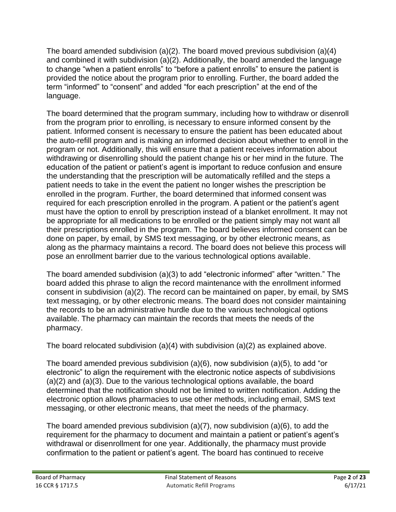The board amended subdivision (a)(2). The board moved previous subdivision (a)(4) and combined it with subdivision (a)(2). Additionally, the board amended the language to change "when a patient enrolls" to "before a patient enrolls" to ensure the patient is provided the notice about the program prior to enrolling. Further, the board added the term "informed" to "consent" and added "for each prescription" at the end of the language.

The board determined that the program summary, including how to withdraw or disenroll from the program prior to enrolling, is necessary to ensure informed consent by the patient. Informed consent is necessary to ensure the patient has been educated about the auto-refill program and is making an informed decision about whether to enroll in the program or not. Additionally, this will ensure that a patient receives information about withdrawing or disenrolling should the patient change his or her mind in the future. The education of the patient or patient's agent is important to reduce confusion and ensure the understanding that the prescription will be automatically refilled and the steps a patient needs to take in the event the patient no longer wishes the prescription be enrolled in the program. Further, the board determined that informed consent was required for each prescription enrolled in the program. A patient or the patient's agent must have the option to enroll by prescription instead of a blanket enrollment. It may not be appropriate for all medications to be enrolled or the patient simply may not want all their prescriptions enrolled in the program. The board believes informed consent can be done on paper, by email, by SMS text messaging, or by other electronic means, as along as the pharmacy maintains a record. The board does not believe this process will pose an enrollment barrier due to the various technological options available.

The board amended subdivision (a)(3) to add "electronic informed" after "written." The board added this phrase to align the record maintenance with the enrollment informed consent in subdivision (a)(2). The record can be maintained on paper, by email, by SMS text messaging, or by other electronic means. The board does not consider maintaining the records to be an administrative hurdle due to the various technological options available. The pharmacy can maintain the records that meets the needs of the pharmacy.

The board relocated subdivision (a)(4) with subdivision (a)(2) as explained above.

The board amended previous subdivision (a)(6), now subdivision (a)(5), to add "or electronic" to align the requirement with the electronic notice aspects of subdivisions (a)(2) and (a)(3). Due to the various technological options available, the board determined that the notification should not be limited to written notification. Adding the electronic option allows pharmacies to use other methods, including email, SMS text messaging, or other electronic means, that meet the needs of the pharmacy.

The board amended previous subdivision (a)(7), now subdivision (a)(6), to add the requirement for the pharmacy to document and maintain a patient or patient's agent's withdrawal or disenrollment for one year. Additionally, the pharmacy must provide confirmation to the patient or patient's agent. The board has continued to receive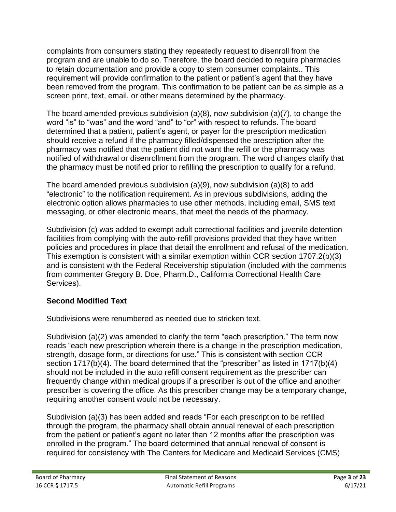complaints from consumers stating they repeatedly request to disenroll from the program and are unable to do so. Therefore, the board decided to require pharmacies to retain documentation and provide a copy to stem consumer complaints.. This requirement will provide confirmation to the patient or patient's agent that they have been removed from the program. This confirmation to be patient can be as simple as a screen print, text, email, or other means determined by the pharmacy.

The board amended previous subdivision (a)(8), now subdivision (a)(7), to change the word "is" to "was" and the word "and" to "or" with respect to refunds. The board determined that a patient, patient's agent, or payer for the prescription medication should receive a refund if the pharmacy filled/dispensed the prescription after the pharmacy was notified that the patient did not want the refill or the pharmacy was notified of withdrawal or disenrollment from the program. The word changes clarify that the pharmacy must be notified prior to refilling the prescription to qualify for a refund.

The board amended previous subdivision (a)(9), now subdivision (a)(8) to add "electronic" to the notification requirement. As in previous subdivisions, adding the electronic option allows pharmacies to use other methods, including email, SMS text messaging, or other electronic means, that meet the needs of the pharmacy.

Subdivision (c) was added to exempt adult correctional facilities and juvenile detention facilities from complying with the auto-refill provisions provided that they have written policies and procedures in place that detail the enrollment and refusal of the medication. This exemption is consistent with a similar exemption within CCR section 1707.2(b)(3) and is consistent with the Federal Receivership stipulation (included with the comments from commenter Gregory B. Doe, Pharm.D., California Correctional Health Care Services).

### **Second Modified Text**

Subdivisions were renumbered as needed due to stricken text.

Subdivision (a)(2) was amended to clarify the term "each prescription." The term now reads "each new prescription wherein there is a change in the prescription medication, strength, dosage form, or directions for use." This is consistent with section CCR section 1717(b)(4). The board determined that the "prescriber" as listed in 1717(b)(4) should not be included in the auto refill consent requirement as the prescriber can frequently change within medical groups if a prescriber is out of the office and another prescriber is covering the office. As this prescriber change may be a temporary change, requiring another consent would not be necessary.

Subdivision (a)(3) has been added and reads "For each prescription to be refilled through the program, the pharmacy shall obtain annual renewal of each prescription from the patient or patient's agent no later than 12 months after the prescription was enrolled in the program." The board determined that annual renewal of consent is required for consistency with The Centers for Medicare and Medicaid Services (CMS)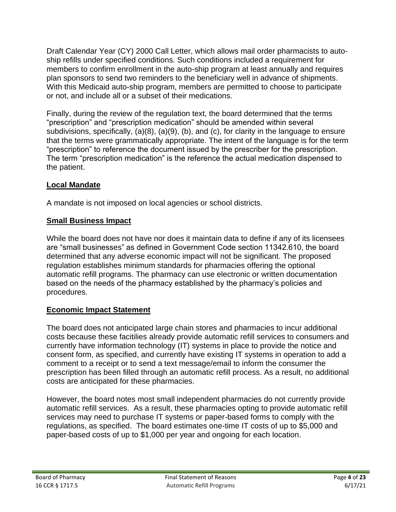Draft Calendar Year (CY) 2000 Call Letter, which allows mail order pharmacists to autoship refills under specified conditions. Such conditions included a requirement for members to confirm enrollment in the auto-ship program at least annually and requires plan sponsors to send two reminders to the beneficiary well in advance of shipments. With this Medicaid auto-ship program, members are permitted to choose to participate or not, and include all or a subset of their medications.

Finally, during the review of the regulation text, the board determined that the terms "prescription" and "prescription medication" should be amended within several subdivisions, specifically, (a)(8), (a)(9), (b), and (c), for clarity in the language to ensure that the terms were grammatically appropriate. The intent of the language is for the term "prescription" to reference the document issued by the prescriber for the prescription. The term "prescription medication" is the reference the actual medication dispensed to the patient.

## **Local Mandate**

A mandate is not imposed on local agencies or school districts.

### **Small Business Impact**

While the board does not have nor does it maintain data to define if any of its licensees are "small businesses" as defined in Government Code section 11342.610, the board determined that any adverse economic impact will not be significant. The proposed regulation establishes minimum standards for pharmacies offering the optional automatic refill programs. The pharmacy can use electronic or written documentation based on the needs of the pharmacy established by the pharmacy's policies and procedures.

### **Economic Impact Statement**

The board does not anticipated large chain stores and pharmacies to incur additional costs because these facitilies already provide automatic refill services to consumers and currently have information technology (IT) systems in place to provide the notice and consent form, as specified, and currently have existing IT systems in operation to add a comment to a receipt or to send a text message/email to inform the consumer the prescription has been filled through an automatic refill process. As a result, no additional costs are anticipated for these pharmacies.

However, the board notes most small independent pharmacies do not currently provide automatic refill services. As a result, these pharmacies opting to provide automatic refill services may need to purchase IT systems or paper-based forms to comply with the regulations, as specified. The board estimates one-time IT costs of up to \$5,000 and paper-based costs of up to \$1,000 per year and ongoing for each location.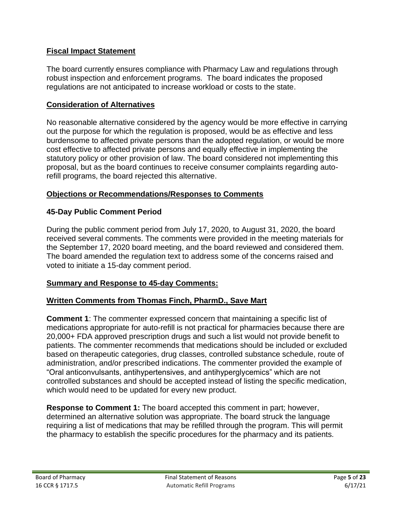#### **Fiscal Impact Statement**

The board currently ensures compliance with Pharmacy Law and regulations through robust inspection and enforcement programs. The board indicates the proposed regulations are not anticipated to increase workload or costs to the state.

#### **Consideration of Alternatives**

No reasonable alternative considered by the agency would be more effective in carrying out the purpose for which the regulation is proposed, would be as effective and less burdensome to affected private persons than the adopted regulation, or would be more cost effective to affected private persons and equally effective in implementing the statutory policy or other provision of law. The board considered not implementing this proposal, but as the board continues to receive consumer complaints regarding autorefill programs, the board rejected this alternative.

#### **Objections or Recommendations/Responses to Comments**

#### **45-Day Public Comment Period**

During the public comment period from July 17, 2020, to August 31, 2020, the board received several comments. The comments were provided in the meeting materials for the September 17, 2020 board meeting, and the board reviewed and considered them. The board amended the regulation text to address some of the concerns raised and voted to initiate a 15-day comment period.

#### **Summary and Response to 45-day Comments:**

#### **Written Comments from Thomas Finch, PharmD., Save Mart**

**Comment 1**: The commenter expressed concern that maintaining a specific list of medications appropriate for auto-refill is not practical for pharmacies because there are 20,000+ FDA approved prescription drugs and such a list would not provide benefit to patients. The commenter recommends that medications should be included or excluded based on therapeutic categories, drug classes, controlled substance schedule, route of administration, and/or prescribed indications. The commenter provided the example of "Oral anticonvulsants, antihypertensives, and antihyperglycemics" which are not controlled substances and should be accepted instead of listing the specific medication, which would need to be updated for every new product.

**Response to Comment 1:** The board accepted this comment in part; however, determined an alternative solution was appropriate. The board struck the language requiring a list of medications that may be refilled through the program. This will permit the pharmacy to establish the specific procedures for the pharmacy and its patients.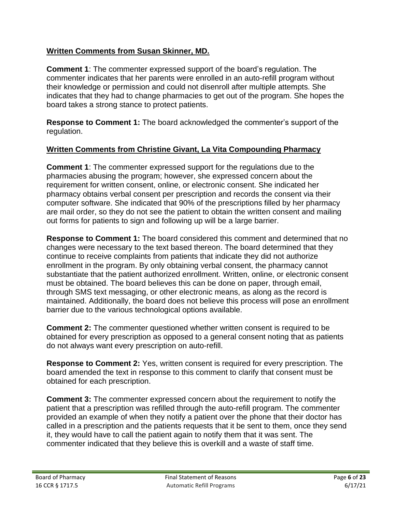#### **Written Comments from Susan Skinner, MD.**

**Comment 1**: The commenter expressed support of the board's regulation. The commenter indicates that her parents were enrolled in an auto-refill program without their knowledge or permission and could not disenroll after multiple attempts. She indicates that they had to change pharmacies to get out of the program. She hopes the board takes a strong stance to protect patients.

**Response to Comment 1:** The board acknowledged the commenter's support of the regulation.

#### **Written Comments from Christine Givant, La Vita Compounding Pharmacy**

**Comment 1**: The commenter expressed support for the regulations due to the pharmacies abusing the program; however, she expressed concern about the requirement for written consent, online, or electronic consent. She indicated her pharmacy obtains verbal consent per prescription and records the consent via their computer software. She indicated that 90% of the prescriptions filled by her pharmacy are mail order, so they do not see the patient to obtain the written consent and mailing out forms for patients to sign and following up will be a large barrier.

**Response to Comment 1:** The board considered this comment and determined that no changes were necessary to the text based thereon. The board determined that they continue to receive complaints from patients that indicate they did not authorize enrollment in the program. By only obtaining verbal consent, the pharmacy cannot substantiate that the patient authorized enrollment. Written, online, or electronic consent must be obtained. The board believes this can be done on paper, through email, through SMS text messaging, or other electronic means, as along as the record is maintained. Additionally, the board does not believe this process will pose an enrollment barrier due to the various technological options available.

**Comment 2:** The commenter questioned whether written consent is required to be obtained for every prescription as opposed to a general consent noting that as patients do not always want every prescription on auto-refill.

**Response to Comment 2:** Yes, written consent is required for every prescription. The board amended the text in response to this comment to clarify that consent must be obtained for each prescription.

**Comment 3:** The commenter expressed concern about the requirement to notify the patient that a prescription was refilled through the auto-refill program. The commenter provided an example of when they notify a patient over the phone that their doctor has called in a prescription and the patients requests that it be sent to them, once they send it, they would have to call the patient again to notify them that it was sent. The commenter indicated that they believe this is overkill and a waste of staff time.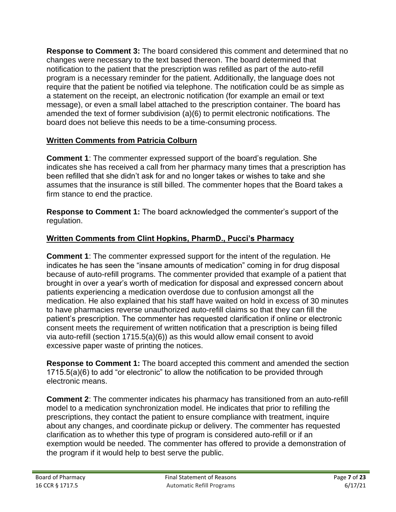**Response to Comment 3:** The board considered this comment and determined that no changes were necessary to the text based thereon. The board determined that notification to the patient that the prescription was refilled as part of the auto-refill program is a necessary reminder for the patient. Additionally, the language does not require that the patient be notified via telephone. The notification could be as simple as a statement on the receipt, an electronic notification (for example an email or text message), or even a small label attached to the prescription container. The board has amended the text of former subdivision (a)(6) to permit electronic notifications. The board does not believe this needs to be a time-consuming process.

## **Written Comments from Patricia Colburn**

**Comment 1**: The commenter expressed support of the board's regulation. She indicates she has received a call from her pharmacy many times that a prescription has been refilled that she didn't ask for and no longer takes or wishes to take and she assumes that the insurance is still billed. The commenter hopes that the Board takes a firm stance to end the practice.

**Response to Comment 1:** The board acknowledged the commenter's support of the regulation.

### **Written Comments from Clint Hopkins, PharmD., Pucci's Pharmacy**

**Comment 1**: The commenter expressed support for the intent of the regulation. He indicates he has seen the "insane amounts of medication" coming in for drug disposal because of auto-refill programs. The commenter provided that example of a patient that brought in over a year's worth of medication for disposal and expressed concern about patients experiencing a medication overdose due to confusion amongst all the medication. He also explained that his staff have waited on hold in excess of 30 minutes to have pharmacies reverse unauthorized auto-refill claims so that they can fill the patient's prescription. The commenter has requested clarification if online or electronic consent meets the requirement of written notification that a prescription is being filled via auto-refill (section 1715.5(a)(6)) as this would allow email consent to avoid excessive paper waste of printing the notices.

**Response to Comment 1:** The board accepted this comment and amended the section 1715.5(a)(6) to add "or electronic" to allow the notification to be provided through electronic means.

**Comment 2**: The commenter indicates his pharmacy has transitioned from an auto-refill model to a medication synchronization model. He indicates that prior to refilling the prescriptions, they contact the patient to ensure compliance with treatment, inquire about any changes, and coordinate pickup or delivery. The commenter has requested clarification as to whether this type of program is considered auto-refill or if an exemption would be needed. The commenter has offered to provide a demonstration of the program if it would help to best serve the public.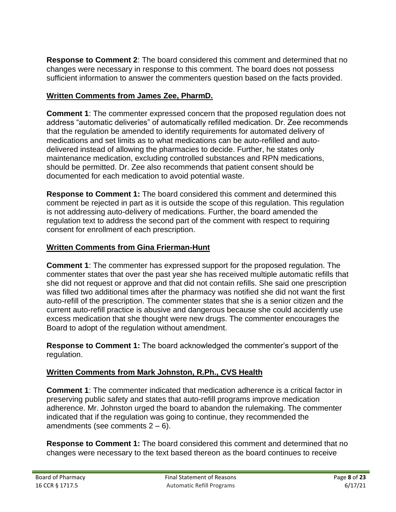**Response to Comment 2**: The board considered this comment and determined that no changes were necessary in response to this comment. The board does not possess sufficient information to answer the commenters question based on the facts provided.

## **Written Comments from James Zee, PharmD.**

**Comment 1**: The commenter expressed concern that the proposed regulation does not address "automatic deliveries" of automatically refilled medication. Dr. Zee recommends that the regulation be amended to identify requirements for automated delivery of medications and set limits as to what medications can be auto-refilled and autodelivered instead of allowing the pharmacies to decide. Further, he states only maintenance medication, excluding controlled substances and RPN medications, should be permitted. Dr. Zee also recommends that patient consent should be documented for each medication to avoid potential waste.

**Response to Comment 1:** The board considered this comment and determined this comment be rejected in part as it is outside the scope of this regulation. This regulation is not addressing auto-delivery of medications. Further, the board amended the regulation text to address the second part of the comment with respect to requiring consent for enrollment of each prescription.

### **Written Comments from Gina Frierman-Hunt**

**Comment 1**: The commenter has expressed support for the proposed regulation. The commenter states that over the past year she has received multiple automatic refills that she did not request or approve and that did not contain refills. She said one prescription was filled two additional times after the pharmacy was notified she did not want the first auto-refill of the prescription. The commenter states that she is a senior citizen and the current auto-refill practice is abusive and dangerous because she could accidently use excess medication that she thought were new drugs. The commenter encourages the Board to adopt of the regulation without amendment.

**Response to Comment 1:** The board acknowledged the commenter's support of the regulation.

# **Written Comments from Mark Johnston, R.Ph., CVS Health**

**Comment 1**: The commenter indicated that medication adherence is a critical factor in preserving public safety and states that auto-refill programs improve medication adherence. Mr. Johnston urged the board to abandon the rulemaking. The commenter indicated that if the regulation was going to continue, they recommended the amendments (see comments  $2 - 6$ ).

**Response to Comment 1:** The board considered this comment and determined that no changes were necessary to the text based thereon as the board continues to receive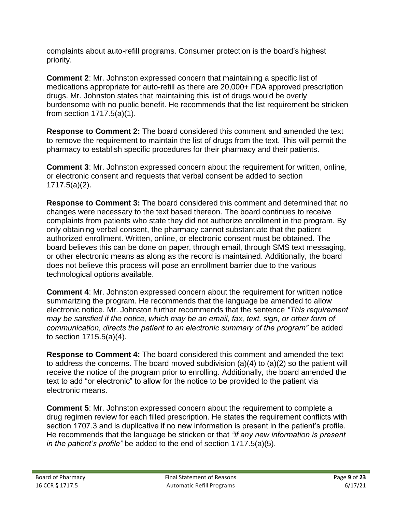complaints about auto-refill programs. Consumer protection is the board's highest priority.

**Comment 2**: Mr. Johnston expressed concern that maintaining a specific list of medications appropriate for auto-refill as there are 20,000+ FDA approved prescription drugs. Mr. Johnston states that maintaining this list of drugs would be overly burdensome with no public benefit. He recommends that the list requirement be stricken from section 1717.5(a)(1).

**Response to Comment 2:** The board considered this comment and amended the text to remove the requirement to maintain the list of drugs from the text. This will permit the pharmacy to establish specific procedures for their pharmacy and their patients.

**Comment 3**: Mr. Johnston expressed concern about the requirement for written, online, or electronic consent and requests that verbal consent be added to section 1717.5(a)(2).

**Response to Comment 3:** The board considered this comment and determined that no changes were necessary to the text based thereon. The board continues to receive complaints from patients who state they did not authorize enrollment in the program. By only obtaining verbal consent, the pharmacy cannot substantiate that the patient authorized enrollment. Written, online, or electronic consent must be obtained. The board believes this can be done on paper, through email, through SMS text messaging, or other electronic means as along as the record is maintained. Additionally, the board does not believe this process will pose an enrollment barrier due to the various technological options available.

**Comment 4**: Mr. Johnston expressed concern about the requirement for written notice summarizing the program. He recommends that the language be amended to allow electronic notice. Mr. Johnston further recommends that the sentence *"This requirement may be satisfied if the notice, which may be an email, fax, text, sign, or other form of communication, directs the patient to an electronic summary of the program"* be added to section 1715.5(a)(4).

**Response to Comment 4:** The board considered this comment and amended the text to address the concerns. The board moved subdivision (a)(4) to (a)(2) so the patient will receive the notice of the program prior to enrolling. Additionally, the board amended the text to add "or electronic" to allow for the notice to be provided to the patient via electronic means.

**Comment 5**: Mr. Johnston expressed concern about the requirement to complete a drug regimen review for each filled prescription. He states the requirement conflicts with section 1707.3 and is duplicative if no new information is present in the patient's profile. He recommends that the language be stricken or that *"if any new information is present in the patient's profile"* be added to the end of section 1717.5(a)(5).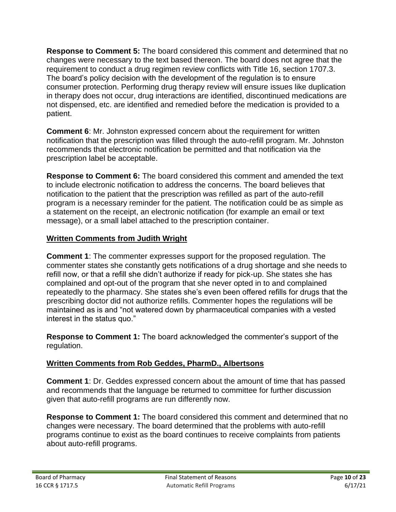**Response to Comment 5:** The board considered this comment and determined that no changes were necessary to the text based thereon. The board does not agree that the requirement to conduct a drug regimen review conflicts with Title 16, section 1707.3. The board's policy decision with the development of the regulation is to ensure consumer protection. Performing drug therapy review will ensure issues like duplication in therapy does not occur, drug interactions are identified, discontinued medications are not dispensed, etc. are identified and remedied before the medication is provided to a patient.

**Comment 6**: Mr. Johnston expressed concern about the requirement for written notification that the prescription was filled through the auto-refill program. Mr. Johnston recommends that electronic notification be permitted and that notification via the prescription label be acceptable.

**Response to Comment 6:** The board considered this comment and amended the text to include electronic notification to address the concerns. The board believes that notification to the patient that the prescription was refilled as part of the auto-refill program is a necessary reminder for the patient. The notification could be as simple as a statement on the receipt, an electronic notification (for example an email or text message), or a small label attached to the prescription container.

### **Written Comments from Judith Wright**

**Comment 1**: The commenter expresses support for the proposed regulation. The commenter states she constantly gets notifications of a drug shortage and she needs to refill now, or that a refill she didn't authorize if ready for pick-up. She states she has complained and opt-out of the program that she never opted in to and complained repeatedly to the pharmacy. She states she's even been offered refills for drugs that the prescribing doctor did not authorize refills. Commenter hopes the regulations will be maintained as is and "not watered down by pharmaceutical companies with a vested interest in the status quo."

**Response to Comment 1:** The board acknowledged the commenter's support of the regulation.

### **Written Comments from Rob Geddes, PharmD., Albertsons**

**Comment 1**: Dr. Geddes expressed concern about the amount of time that has passed and recommends that the language be returned to committee for further discussion given that auto-refill programs are run differently now.

**Response to Comment 1:** The board considered this comment and determined that no changes were necessary. The board determined that the problems with auto-refill programs continue to exist as the board continues to receive complaints from patients about auto-refill programs.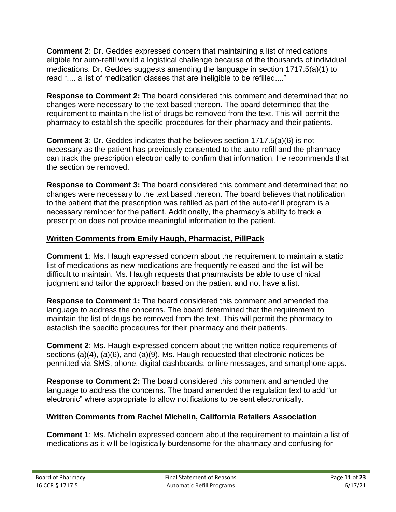**Comment 2**: Dr. Geddes expressed concern that maintaining a list of medications eligible for auto-refill would a logistical challenge because of the thousands of individual medications. Dr. Geddes suggests amending the language in section 1717.5(a)(1) to read ".... a list of medication classes that are ineligible to be refilled...."

**Response to Comment 2:** The board considered this comment and determined that no changes were necessary to the text based thereon. The board determined that the requirement to maintain the list of drugs be removed from the text. This will permit the pharmacy to establish the specific procedures for their pharmacy and their patients.

**Comment 3**: Dr. Geddes indicates that he believes section 1717.5(a)(6) is not necessary as the patient has previously consented to the auto-refill and the pharmacy can track the prescription electronically to confirm that information. He recommends that the section be removed.

**Response to Comment 3:** The board considered this comment and determined that no changes were necessary to the text based thereon. The board believes that notification to the patient that the prescription was refilled as part of the auto-refill program is a necessary reminder for the patient. Additionally, the pharmacy's ability to track a prescription does not provide meaningful information to the patient.

## **Written Comments from Emily Haugh, Pharmacist, PillPack**

**Comment 1**: Ms. Haugh expressed concern about the requirement to maintain a static list of medications as new medications are frequently released and the list will be difficult to maintain. Ms. Haugh requests that pharmacists be able to use clinical judgment and tailor the approach based on the patient and not have a list.

**Response to Comment 1:** The board considered this comment and amended the language to address the concerns. The board determined that the requirement to maintain the list of drugs be removed from the text. This will permit the pharmacy to establish the specific procedures for their pharmacy and their patients.

**Comment 2**: Ms. Haugh expressed concern about the written notice requirements of sections (a)(4), (a)(6), and (a)(9). Ms. Haugh requested that electronic notices be permitted via SMS, phone, digital dashboards, online messages, and smartphone apps.

**Response to Comment 2:** The board considered this comment and amended the language to address the concerns. The board amended the regulation text to add "or electronic" where appropriate to allow notifications to be sent electronically.

# **Written Comments from Rachel Michelin, California Retailers Association**

**Comment 1**: Ms. Michelin expressed concern about the requirement to maintain a list of medications as it will be logistically burdensome for the pharmacy and confusing for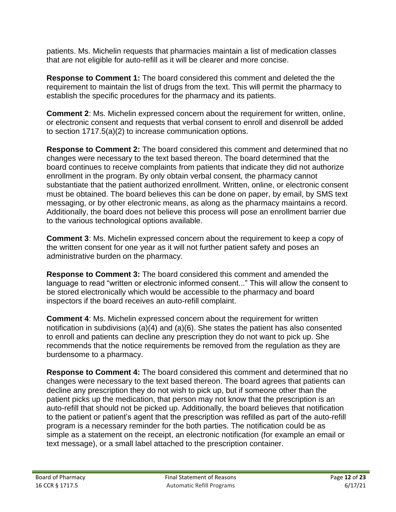patients. Ms. Michelin requests that pharmacies maintain a list of medication classes that are not eligible for auto-refill as it will be clearer and more concise.

**Response to Comment 1:** The board considered this comment and deleted the the requirement to maintain the list of drugs from the text. This will permit the pharmacy to establish the specific procedures for the pharmacy and its patients.

**Comment 2**: Ms. Michelin expressed concern about the requirement for written, online, or electronic consent and requests that verbal consent to enroll and disenroll be added to section 1717.5(a)(2) to increase communication options.

**Response to Comment 2:** The board considered this comment and determined that no changes were necessary to the text based thereon. The board determined that the board continues to receive complaints from patients that indicate they did not authorize enrollment in the program. By only obtain verbal consent, the pharmacy cannot substantiate that the patient authorized enrollment. Written, online, or electronic consent must be obtained. The board believes this can be done on paper, by email, by SMS text messaging, or by other electronic means, as along as the pharmacy maintains a record. Additionally, the board does not believe this process will pose an enrollment barrier due to the various technological options available.

**Comment 3**: Ms. Michelin expressed concern about the requirement to keep a copy of the written consent for one year as it will not further patient safety and poses an administrative burden on the pharmacy.

**Response to Comment 3:** The board considered this comment and amended the language to read "written or electronic informed consent..." This will allow the consent to be stored electronically which would be accessible to the pharmacy and board inspectors if the board receives an auto-refill complaint.

**Comment 4**: Ms. Michelin expressed concern about the requirement for written notification in subdivisions (a)(4) and (a)(6). She states the patient has also consented to enroll and patients can decline any prescription they do not want to pick up. She recommends that the notice requirements be removed from the regulation as they are burdensome to a pharmacy.

**Response to Comment 4:** The board considered this comment and determined that no changes were necessary to the text based thereon. The board agrees that patients can decline any prescription they do not wish to pick up, but if someone other than the patient picks up the medication, that person may not know that the prescription is an auto-refill that should not be picked up. Additionally, the board believes that notification to the patient or patient's agent that the prescription was refilled as part of the auto-refill program is a necessary reminder for the both parties. The notification could be as simple as a statement on the receipt, an electronic notification (for example an email or text message), or a small label attached to the prescription container.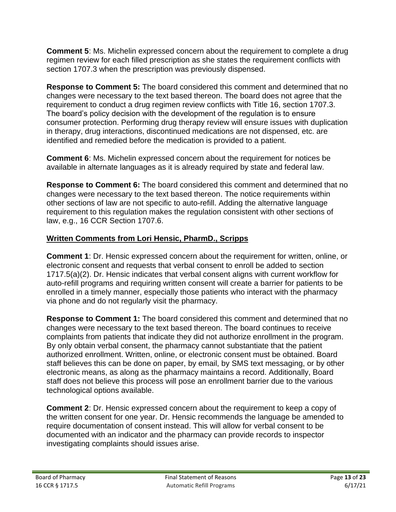**Comment 5**: Ms. Michelin expressed concern about the requirement to complete a drug regimen review for each filled prescription as she states the requirement conflicts with section 1707.3 when the prescription was previously dispensed.

**Response to Comment 5:** The board considered this comment and determined that no changes were necessary to the text based thereon. The board does not agree that the requirement to conduct a drug regimen review conflicts with Title 16, section 1707.3. The board's policy decision with the development of the regulation is to ensure consumer protection. Performing drug therapy review will ensure issues with duplication in therapy, drug interactions, discontinued medications are not dispensed, etc. are identified and remedied before the medication is provided to a patient.

**Comment 6**: Ms. Michelin expressed concern about the requirement for notices be available in alternate languages as it is already required by state and federal law.

**Response to Comment 6:** The board considered this comment and determined that no changes were necessary to the text based thereon. The notice requirements within other sections of law are not specific to auto-refill. Adding the alternative language requirement to this regulation makes the regulation consistent with other sections of law, e.g., 16 CCR Section 1707.6.

## **Written Comments from Lori Hensic, PharmD., Scripps**

**Comment 1**: Dr. Hensic expressed concern about the requirement for written, online, or electronic consent and requests that verbal consent to enroll be added to section 1717.5(a)(2). Dr. Hensic indicates that verbal consent aligns with current workflow for auto-refill programs and requiring written consent will create a barrier for patients to be enrolled in a timely manner, especially those patients who interact with the pharmacy via phone and do not regularly visit the pharmacy.

**Response to Comment 1:** The board considered this comment and determined that no changes were necessary to the text based thereon. The board continues to receive complaints from patients that indicate they did not authorize enrollment in the program. By only obtain verbal consent, the pharmacy cannot substantiate that the patient authorized enrollment. Written, online, or electronic consent must be obtained. Board staff believes this can be done on paper, by email, by SMS text messaging, or by other electronic means, as along as the pharmacy maintains a record. Additionally, Board staff does not believe this process will pose an enrollment barrier due to the various technological options available.

**Comment 2**: Dr. Hensic expressed concern about the requirement to keep a copy of the written consent for one year. Dr. Hensic recommends the language be amended to require documentation of consent instead. This will allow for verbal consent to be documented with an indicator and the pharmacy can provide records to inspector investigating complaints should issues arise.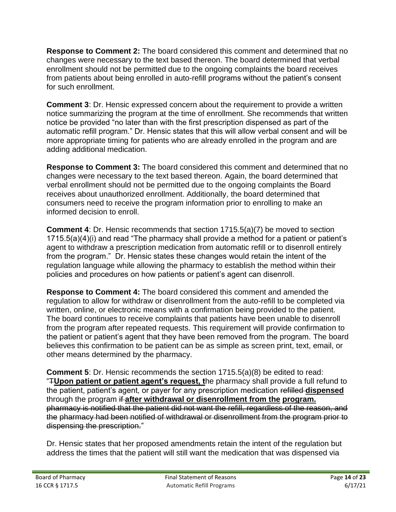**Response to Comment 2:** The board considered this comment and determined that no changes were necessary to the text based thereon. The board determined that verbal enrollment should not be permitted due to the ongoing complaints the board receives from patients about being enrolled in auto-refill programs without the patient's consent for such enrollment.

**Comment 3**: Dr. Hensic expressed concern about the requirement to provide a written notice summarizing the program at the time of enrollment. She recommends that written notice be provided "no later than with the first prescription dispensed as part of the automatic refill program." Dr. Hensic states that this will allow verbal consent and will be more appropriate timing for patients who are already enrolled in the program and are adding additional medication.

**Response to Comment 3:** The board considered this comment and determined that no changes were necessary to the text based thereon. Again, the board determined that verbal enrollment should not be permitted due to the ongoing complaints the Board receives about unauthorized enrollment. Additionally, the board determined that consumers need to receive the program information prior to enrolling to make an informed decision to enroll.

**Comment 4**: Dr. Hensic recommends that section 1715.5(a)(7) be moved to section 1715.5(a)(4)(i) and read "The pharmacy shall provide a method for a patient or patient's agent to withdraw a prescription medication from automatic refill or to disenroll entirely from the program." Dr. Hensic states these changes would retain the intent of the regulation language while allowing the pharmacy to establish the method within their policies and procedures on how patients or patient's agent can disenroll.

**Response to Comment 4:** The board considered this comment and amended the regulation to allow for withdraw or disenrollment from the auto-refill to be completed via written, online, or electronic means with a confirmation being provided to the patient. The board continues to receive complaints that patients have been unable to disenroll from the program after repeated requests. This requirement will provide confirmation to the patient or patient's agent that they have been removed from the program. The board believes this confirmation to be patient can be as simple as screen print, text, email, or other means determined by the pharmacy.

**Comment 5**: Dr. Hensic recommends the section 1715.5(a)(8) be edited to read: "T**Upon patient or patient agent's request, t**he pharmacy shall provide a full refund to the patient, patient's agent, or payer for any prescription medication refilled **dispensed** through the program if **after withdrawal or disenrollment from the program.**  pharmacy is notified that the patient did not want the refill, regardless of the reason, and the pharmacy had been notified of withdrawal or disenrollment from the program prior to dispensing the prescription."

Dr. Hensic states that her proposed amendments retain the intent of the regulation but address the times that the patient will still want the medication that was dispensed via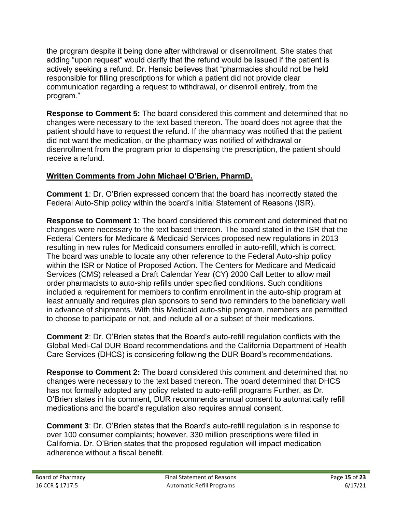the program despite it being done after withdrawal or disenrollment. She states that adding "upon request" would clarify that the refund would be issued if the patient is actively seeking a refund. Dr. Hensic believes that "pharmacies should not be held responsible for filling prescriptions for which a patient did not provide clear communication regarding a request to withdrawal, or disenroll entirely, from the program."

**Response to Comment 5:** The board considered this comment and determined that no changes were necessary to the text based thereon. The board does not agree that the patient should have to request the refund. If the pharmacy was notified that the patient did not want the medication, or the pharmacy was notified of withdrawal or disenrollment from the program prior to dispensing the prescription, the patient should receive a refund.

## **Written Comments from John Michael O'Brien, PharmD.**

**Comment 1**: Dr. O'Brien expressed concern that the board has incorrectly stated the Federal Auto-Ship policy within the board's Initial Statement of Reasons (ISR).

**Response to Comment 1**: The board considered this comment and determined that no changes were necessary to the text based thereon. The board stated in the ISR that the Federal Centers for Medicare & Medicaid Services proposed new regulations in 2013 resulting in new rules for Medicaid consumers enrolled in auto-refill, which is correct. The board was unable to locate any other reference to the Federal Auto-ship policy within the ISR or Notice of Proposed Action. The Centers for Medicare and Medicaid Services (CMS) released a Draft Calendar Year (CY) 2000 Call Letter to allow mail order pharmacists to auto-ship refills under specified conditions. Such conditions included a requirement for members to confirm enrollment in the auto-ship program at least annually and requires plan sponsors to send two reminders to the beneficiary well in advance of shipments. With this Medicaid auto-ship program, members are permitted to choose to participate or not, and include all or a subset of their medications.

**Comment 2**: Dr. O'Brien states that the Board's auto-refill regulation conflicts with the Global Medi-Cal DUR Board recommendations and the California Department of Health Care Services (DHCS) is considering following the DUR Board's recommendations.

**Response to Comment 2:** The board considered this comment and determined that no changes were necessary to the text based thereon. The board determined that DHCS has not formally adopted any policy related to auto-refill programs Further, as Dr. O'Brien states in his comment, DUR recommends annual consent to automatically refill medications and the board's regulation also requires annual consent.

**Comment 3**: Dr. O'Brien states that the Board's auto-refill regulation is in response to over 100 consumer complaints; however, 330 million prescriptions were filled in California. Dr. O'Brien states that the proposed regulation will impact medication adherence without a fiscal benefit.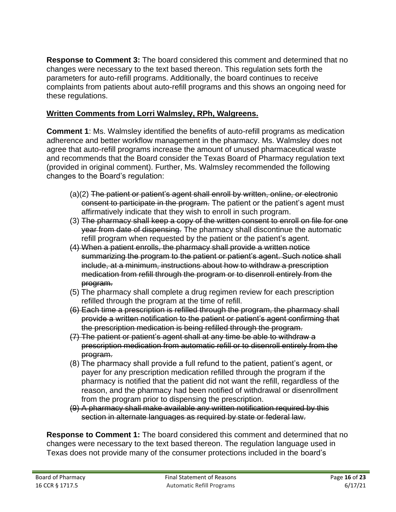**Response to Comment 3:** The board considered this comment and determined that no changes were necessary to the text based thereon. This regulation sets forth the parameters for auto-refill programs. Additionally, the board continues to receive complaints from patients about auto-refill programs and this shows an ongoing need for these regulations.

### **Written Comments from Lorri Walmsley, RPh, Walgreens.**

**Comment 1**: Ms. Walmsley identified the benefits of auto-refill programs as medication adherence and better workflow management in the pharmacy. Ms. Walmsley does not agree that auto-refill programs increase the amount of unused pharmaceutical waste and recommends that the Board consider the Texas Board of Pharmacy regulation text (provided in original comment). Further, Ms. Walmsley recommended the following changes to the Board's regulation:

- (a)(2) The patient or patient's agent shall enroll by written, online, or electronic consent to participate in the program. The patient or the patient's agent must affirmatively indicate that they wish to enroll in such program.
- (3) The pharmacy shall keep a copy of the written consent to enroll on file for one year from date of dispensing. The pharmacy shall discontinue the automatic refill program when requested by the patient or the patient's agent.
- (4) When a patient enrolls, the pharmacy shall provide a written notice summarizing the program to the patient or patient's agent. Such notice shall include, at a minimum, instructions about how to withdraw a prescription medication from refill through the program or to disenroll entirely from the program.
- (5) The pharmacy shall complete a drug regimen review for each prescription refilled through the program at the time of refill.
- (6) Each time a prescription is refilled through the program, the pharmacy shall provide a written notification to the patient or patient's agent confirming that the prescription medication is being refilled through the program.
- (7) The patient or patient's agent shall at any time be able to withdraw a prescription medication from automatic refill or to disenroll entirely from the program.
- (8) The pharmacy shall provide a full refund to the patient, patient's agent, or payer for any prescription medication refilled through the program if the pharmacy is notified that the patient did not want the refill, regardless of the reason, and the pharmacy had been notified of withdrawal or disenrollment from the program prior to dispensing the prescription.
- (9) A pharmacy shall make available any written notification required by this section in alternate languages as required by state or federal law.

**Response to Comment 1:** The board considered this comment and determined that no changes were necessary to the text based thereon. The regulation language used in Texas does not provide many of the consumer protections included in the board's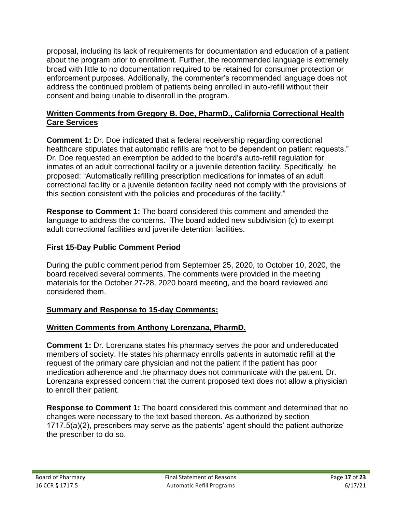proposal, including its lack of requirements for documentation and education of a patient about the program prior to enrollment. Further, the recommended language is extremely broad with little to no documentation required to be retained for consumer protection or enforcement purposes. Additionally, the commenter's recommended language does not address the continued problem of patients being enrolled in auto-refill without their consent and being unable to disenroll in the program.

#### **Written Comments from Gregory B. Doe, PharmD., California Correctional Health Care Services**

**Comment 1:** Dr. Doe indicated that a federal receivership regarding correctional healthcare stipulates that automatic refills are "not to be dependent on patient requests." Dr. Doe requested an exemption be added to the board's auto-refill regulation for inmates of an adult correctional facility or a juvenile detention facility. Specifically, he proposed: "Automatically refilling prescription medications for inmates of an adult correctional facility or a juvenile detention facility need not comply with the provisions of this section consistent with the policies and procedures of the facility."

**Response to Comment 1:** The board considered this comment and amended the language to address the concerns. The board added new subdivision (c) to exempt adult correctional facilities and juvenile detention facilities.

# **First 15-Day Public Comment Period**

During the public comment period from September 25, 2020, to October 10, 2020, the board received several comments. The comments were provided in the meeting materials for the October 27-28, 2020 board meeting, and the board reviewed and considered them.

### **Summary and Response to 15-day Comments:**

### **Written Comments from Anthony Lorenzana, PharmD.**

**Comment 1:** Dr. Lorenzana states his pharmacy serves the poor and undereducated members of society. He states his pharmacy enrolls patients in automatic refill at the request of the primary care physician and not the patient if the patient has poor medication adherence and the pharmacy does not communicate with the patient. Dr. Lorenzana expressed concern that the current proposed text does not allow a physician to enroll their patient.

**Response to Comment 1:** The board considered this comment and determined that no changes were necessary to the text based thereon. As authorized by section 1717.5(a)(2), prescribers may serve as the patients' agent should the patient authorize the prescriber to do so.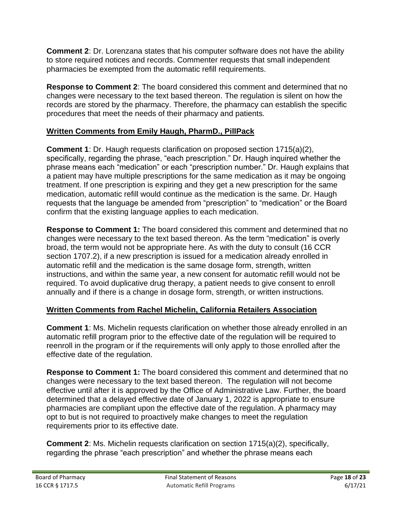**Comment 2**: Dr. Lorenzana states that his computer software does not have the ability to store required notices and records. Commenter requests that small independent pharmacies be exempted from the automatic refill requirements.

**Response to Comment 2**: The board considered this comment and determined that no changes were necessary to the text based thereon. The regulation is silent on how the records are stored by the pharmacy. Therefore, the pharmacy can establish the specific procedures that meet the needs of their pharmacy and patients.

### **Written Comments from Emily Haugh, PharmD., PillPack**

**Comment 1**: Dr. Haugh requests clarification on proposed section 1715(a)(2), specifically, regarding the phrase, "each prescription." Dr. Haugh inquired whether the phrase means each "medication" or each "prescription number." Dr. Haugh explains that a patient may have multiple prescriptions for the same medication as it may be ongoing treatment. If one prescription is expiring and they get a new prescription for the same medication, automatic refill would continue as the medication is the same. Dr. Haugh requests that the language be amended from "prescription" to "medication" or the Board confirm that the existing language applies to each medication.

**Response to Comment 1:** The board considered this comment and determined that no changes were necessary to the text based thereon. As the term "medication" is overly broad, the term would not be appropriate here. As with the duty to consult (16 CCR section 1707.2), if a new prescription is issued for a medication already enrolled in automatic refill and the medication is the same dosage form, strength, written instructions, and within the same year, a new consent for automatic refill would not be required. To avoid duplicative drug therapy, a patient needs to give consent to enroll annually and if there is a change in dosage form, strength, or written instructions.

### **Written Comments from Rachel Michelin, California Retailers Association**

**Comment 1:** Ms. Michelin requests clarification on whether those already enrolled in an automatic refill program prior to the effective date of the regulation will be required to reenroll in the program or if the requirements will only apply to those enrolled after the effective date of the regulation.

**Response to Comment 1:** The board considered this comment and determined that no changes were necessary to the text based thereon. The regulation will not become effective until after it is approved by the Office of Administrative Law. Further, the board determined that a delayed effective date of January 1, 2022 is appropriate to ensure pharmacies are compliant upon the effective date of the regulation. A pharmacy may opt to but is not required to proactively make changes to meet the regulation requirements prior to its effective date.

**Comment 2**: Ms. Michelin requests clarification on section 1715(a)(2), specifically, regarding the phrase "each prescription" and whether the phrase means each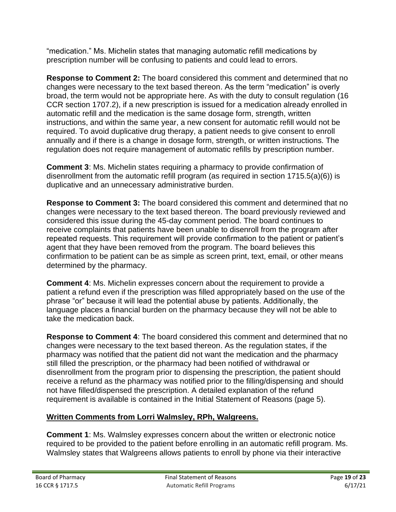"medication." Ms. Michelin states that managing automatic refill medications by prescription number will be confusing to patients and could lead to errors.

**Response to Comment 2:** The board considered this comment and determined that no changes were necessary to the text based thereon. As the term "medication" is overly broad, the term would not be appropriate here. As with the duty to consult regulation (16 CCR section 1707.2), if a new prescription is issued for a medication already enrolled in automatic refill and the medication is the same dosage form, strength, written instructions, and within the same year, a new consent for automatic refill would not be required. To avoid duplicative drug therapy, a patient needs to give consent to enroll annually and if there is a change in dosage form, strength, or written instructions. The regulation does not require management of automatic refills by prescription number.

**Comment 3**: Ms. Michelin states requiring a pharmacy to provide confirmation of disenrollment from the automatic refill program (as required in section 1715.5(a)(6)) is duplicative and an unnecessary administrative burden.

**Response to Comment 3:** The board considered this comment and determined that no changes were necessary to the text based thereon. The board previously reviewed and considered this issue during the 45-day comment period. The board continues to receive complaints that patients have been unable to disenroll from the program after repeated requests. This requirement will provide confirmation to the patient or patient's agent that they have been removed from the program. The board believes this confirmation to be patient can be as simple as screen print, text, email, or other means determined by the pharmacy.

**Comment 4**: Ms. Michelin expresses concern about the requirement to provide a patient a refund even if the prescription was filled appropriately based on the use of the phrase "or" because it will lead the potential abuse by patients. Additionally, the language places a financial burden on the pharmacy because they will not be able to take the medication back.

**Response to Comment 4**: The board considered this comment and determined that no changes were necessary to the text based thereon. As the regulation states, if the pharmacy was notified that the patient did not want the medication and the pharmacy still filled the prescription, or the pharmacy had been notified of withdrawal or disenrollment from the program prior to dispensing the prescription, the patient should receive a refund as the pharmacy was notified prior to the filling/dispensing and should not have filled/dispensed the prescription. A detailed explanation of the refund requirement is available is contained in the Initial Statement of Reasons (page 5).

# **Written Comments from Lorri Walmsley, RPh, Walgreens.**

**Comment 1**: Ms. Walmsley expresses concern about the written or electronic notice required to be provided to the patient before enrolling in an automatic refill program. Ms. Walmsley states that Walgreens allows patients to enroll by phone via their interactive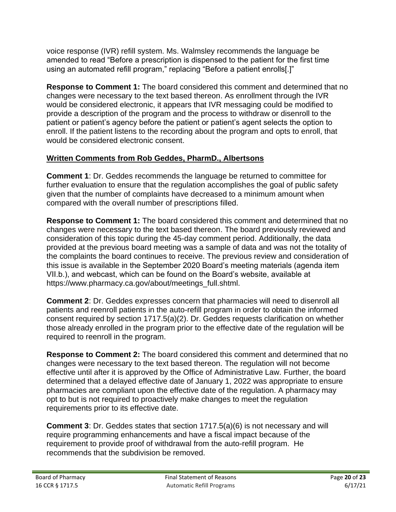voice response (IVR) refill system. Ms. Walmsley recommends the language be amended to read "Before a prescription is dispensed to the patient for the first time using an automated refill program," replacing "Before a patient enrolls[.]"

**Response to Comment 1:** The board considered this comment and determined that no changes were necessary to the text based thereon. As enrollment through the IVR would be considered electronic, it appears that IVR messaging could be modified to provide a description of the program and the process to withdraw or disenroll to the patient or patient's agency before the patient or patient's agent selects the option to enroll. If the patient listens to the recording about the program and opts to enroll, that would be considered electronic consent.

# **Written Comments from Rob Geddes, PharmD., Albertsons**

**Comment 1**: Dr. Geddes recommends the language be returned to committee for further evaluation to ensure that the regulation accomplishes the goal of public safety given that the number of complaints have decreased to a minimum amount when compared with the overall number of prescriptions filled.

**Response to Comment 1:** The board considered this comment and determined that no changes were necessary to the text based thereon. The board previously reviewed and consideration of this topic during the 45-day comment period. Additionally, the data provided at the previous board meeting was a sample of data and was not the totality of the complaints the board continues to receive. The previous review and consideration of this issue is available in the September 2020 Board's meeting materials (agenda item VII.b.), and webcast, which can be found on the Board's website, available at https://www.pharmacy.ca.gov/about/meetings\_full.shtml.

**Comment 2**: Dr. Geddes expresses concern that pharmacies will need to disenroll all patients and reenroll patients in the auto-refill program in order to obtain the informed consent required by section 1717.5(a)(2). Dr. Geddes requests clarification on whether those already enrolled in the program prior to the effective date of the regulation will be required to reenroll in the program.

**Response to Comment 2:** The board considered this comment and determined that no changes were necessary to the text based thereon. The regulation will not become effective until after it is approved by the Office of Administrative Law. Further, the board determined that a delayed effective date of January 1, 2022 was appropriate to ensure pharmacies are compliant upon the effective date of the regulation. A pharmacy may opt to but is not required to proactively make changes to meet the regulation requirements prior to its effective date.

**Comment 3**: Dr. Geddes states that section 1717.5(a)(6) is not necessary and will require programming enhancements and have a fiscal impact because of the requirement to provide proof of withdrawal from the auto-refill program. He recommends that the subdivision be removed.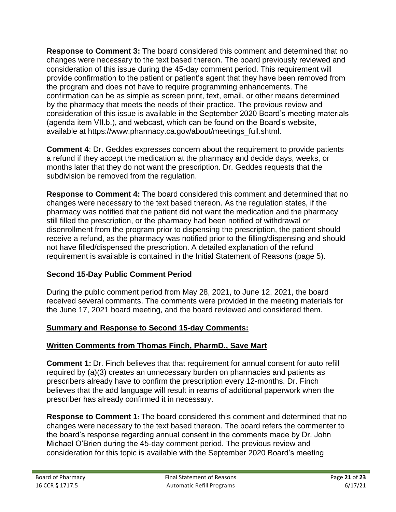**Response to Comment 3:** The board considered this comment and determined that no changes were necessary to the text based thereon. The board previously reviewed and consideration of this issue during the 45-day comment period. This requirement will provide confirmation to the patient or patient's agent that they have been removed from the program and does not have to require programming enhancements. The confirmation can be as simple as screen print, text, email, or other means determined by the pharmacy that meets the needs of their practice. The previous review and consideration of this issue is available in the September 2020 Board's meeting materials (agenda item VII.b.), and webcast, which can be found on the Board's website, available at https://www.pharmacy.ca.gov/about/meetings\_full.shtml.

**Comment 4**: Dr. Geddes expresses concern about the requirement to provide patients a refund if they accept the medication at the pharmacy and decide days, weeks, or months later that they do not want the prescription. Dr. Geddes requests that the subdivision be removed from the regulation.

**Response to Comment 4:** The board considered this comment and determined that no changes were necessary to the text based thereon. As the regulation states, if the pharmacy was notified that the patient did not want the medication and the pharmacy still filled the prescription, or the pharmacy had been notified of withdrawal or disenrollment from the program prior to dispensing the prescription, the patient should receive a refund, as the pharmacy was notified prior to the filling/dispensing and should not have filled/dispensed the prescription. A detailed explanation of the refund requirement is available is contained in the Initial Statement of Reasons (page 5).

# **Second 15-Day Public Comment Period**

During the public comment period from May 28, 2021, to June 12, 2021, the board received several comments. The comments were provided in the meeting materials for the June 17, 2021 board meeting, and the board reviewed and considered them.

# **Summary and Response to Second 15-day Comments:**

# **Written Comments from Thomas Finch, PharmD., Save Mart**

**Comment 1:** Dr. Finch believes that that requirement for annual consent for auto refill required by (a)(3) creates an unnecessary burden on pharmacies and patients as prescribers already have to confirm the prescription every 12-months. Dr. Finch believes that the add language will result in reams of additional paperwork when the prescriber has already confirmed it in necessary.

**Response to Comment 1**: The board considered this comment and determined that no changes were necessary to the text based thereon. The board refers the commenter to the board's response regarding annual consent in the comments made by Dr. John Michael O'Brien during the 45-day comment period. The previous review and consideration for this topic is available with the September 2020 Board's meeting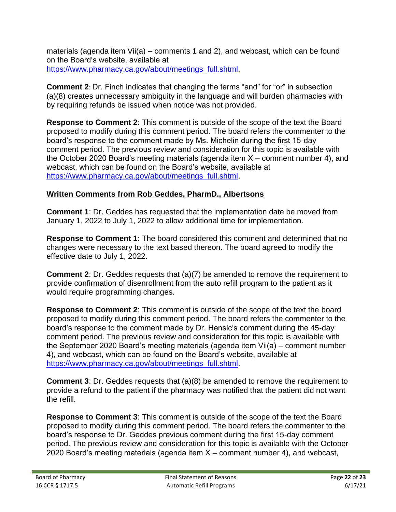materials (agenda item Vii(a) – comments 1 and 2), and webcast, which can be found on the Board's website, available at [https://www.pharmacy.ca.gov/about/meetings\\_full.shtml.](https://www.pharmacy.ca.gov/about/meetings_full.shtml)

**Comment 2**: Dr. Finch indicates that changing the terms "and" for "or" in subsection (a)(8) creates unnecessary ambiguity in the language and will burden pharmacies with by requiring refunds be issued when notice was not provided.

**Response to Comment 2**: This comment is outside of the scope of the text the Board proposed to modify during this comment period. The board refers the commenter to the board's response to the comment made by Ms. Michelin during the first 15-day comment period. The previous review and consideration for this topic is available with the October 2020 Board's meeting materials (agenda item X – comment number 4), and webcast, which can be found on the Board's website, available at [https://www.pharmacy.ca.gov/about/meetings\\_full.shtml.](https://www.pharmacy.ca.gov/about/meetings_full.shtml)

### **Written Comments from Rob Geddes, PharmD., Albertsons**

**Comment 1**: Dr. Geddes has requested that the implementation date be moved from January 1, 2022 to July 1, 2022 to allow additional time for implementation.

**Response to Comment 1**: The board considered this comment and determined that no changes were necessary to the text based thereon. The board agreed to modify the effective date to July 1, 2022.

**Comment 2**: Dr. Geddes requests that (a)(7) be amended to remove the requirement to provide confirmation of disenrollment from the auto refill program to the patient as it would require programming changes.

**Response to Comment 2**: This comment is outside of the scope of the text the board proposed to modify during this comment period. The board refers the commenter to the board's response to the comment made by Dr. Hensic's comment during the 45-day comment period. The previous review and consideration for this topic is available with the September 2020 Board's meeting materials (agenda item Vii(a) – comment number 4), and webcast, which can be found on the Board's website, available at [https://www.pharmacy.ca.gov/about/meetings\\_full.shtml.](https://www.pharmacy.ca.gov/about/meetings_full.shtml)

**Comment 3:** Dr. Geddes requests that (a)(8) be amended to remove the requirement to provide a refund to the patient if the pharmacy was notified that the patient did not want the refill.

**Response to Comment 3**: This comment is outside of the scope of the text the Board proposed to modify during this comment period. The board refers the commenter to the board's response to Dr. Geddes previous comment during the first 15-day comment period. The previous review and consideration for this topic is available with the October 2020 Board's meeting materials (agenda item X – comment number 4), and webcast,